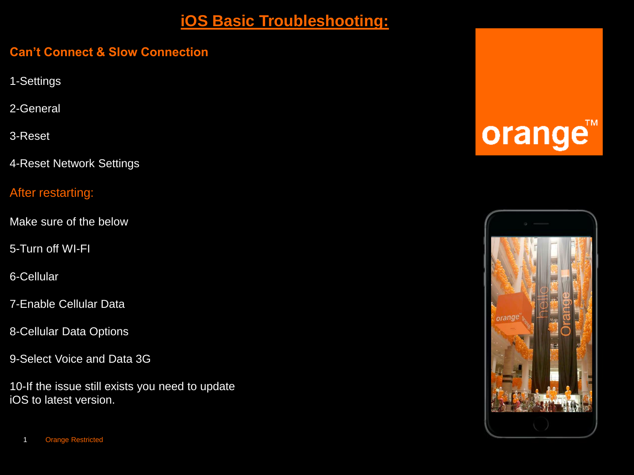#### **Can't Connect & Slow Connection**

- 1-Settings
- 2-General
- 3-Reset
- 4-Reset Network Settings

#### After restarting:

- Make sure of the below
- 5-Turn off WI-FI
- 6-Cellular
- 7-Enable Cellular Data
- 8-Cellular Data Options
- 9-Select Voice and Data 3G
- 10-If the issue still exists you need to update iOS to latest version.



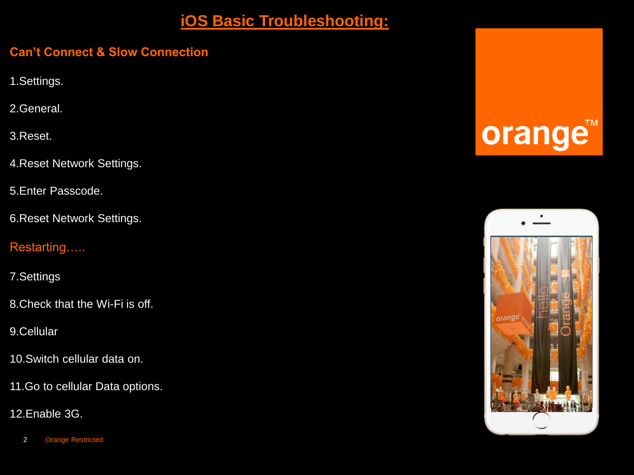#### **Can't Connect & Slow Connection**

1.Settings.

2.General.

3.Reset.

4.Reset Network Settings.

5.Enter Passcode.

6.Reset Network Settings.

#### Restarting…..

7.Settings

8.Check that the Wi-Fi is off.

9.Cellular

10.Switch cellular data on.

11.Go to cellular Data options.

12.Enable 3G.

2 Orange Restricted



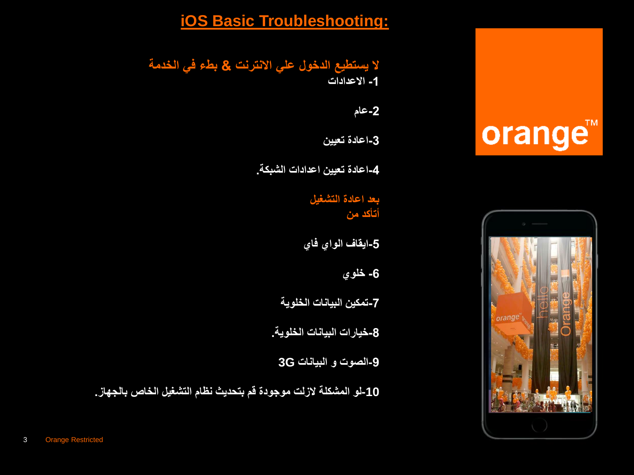# orange™



# **iOS Basic Troubleshooting:**

**ال يستطيع الدخول علي االنترنت & بطء في الخدمة -1 االعدادات**

**-2عام**

**-3اعادة تعيين**

**-4اعادة تعيين اعدادات الشبكة.**

**بعد اعادة التشغيل أتأكد من**

**-5ايقاف الواي فاي**

**-6 خلوي**

**-7تمكين البيانات الخلوية** 

**-8خيارات البيانات الخلوية.**

**-9الصوت و البيانات G3**

**-10لو المشكلة الزلت موجودة قم بتحديث نظام التشغيل الخاص بالجهاز.**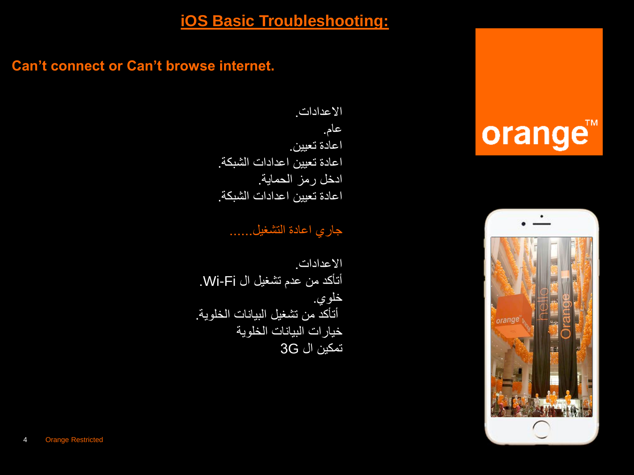**Can't connect or Can't browse internet.**

# orange<sup>™</sup>



االعدادات. عام. اعادة تعيين. اعادة تعيين اعدادات الشبكة. ادخل رمز الحماية. اعادة تعيين اعدادات الشبكة.

جاري اعادة التشغيل......

االعدادات. أتأكد من عدم تشغيل ال Fi-Wi. خلوي. أتأكد من تشغيل البيانات الخلوية. خيارات البيانات الخلوية تمكين ال G3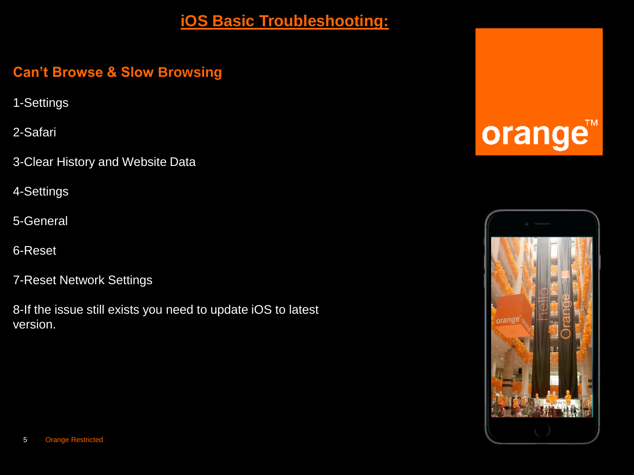### **Can't Browse & Slow Browsing**

1-Settings

2-Safari

3-Clear History and Website Data

4-Settings

5-General

6-Reset

7-Reset Network Settings

8-If the issue still exists you need to update iOS to latest version.



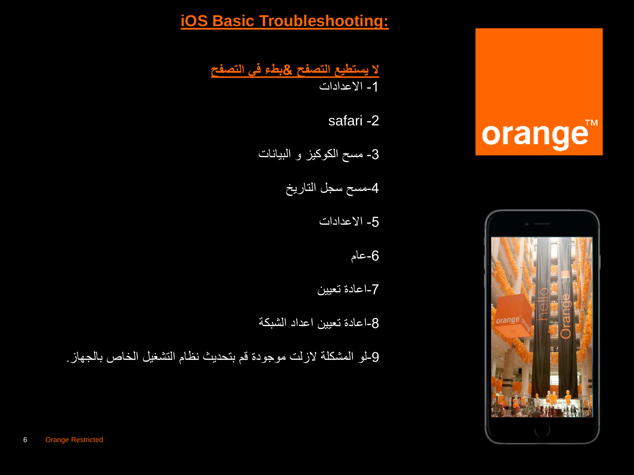#### **ال يستطيع التصفح &بطء في التصفح** -1 االعدادات

#### safari -2

#### -3 مسح الكوكيز و البيانات

### -4مسح سجل التاريخ

#### -5 االعدادات

#### -6عام

#### -7اعادة تعيين

### -8اعادة تعيين اعداد الشبكة

### -9لو المشكلة الزلت موجودة قم بتحديث نظام التشغيل الخاص بالجهاز.

# orange™